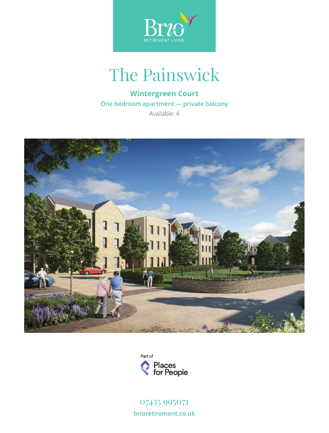

## The Painswick

## **Wintergreen Court**

**One bedroom apartment — private balcony**

Available: 4





07435 995071 **brioretirement.co.uk**